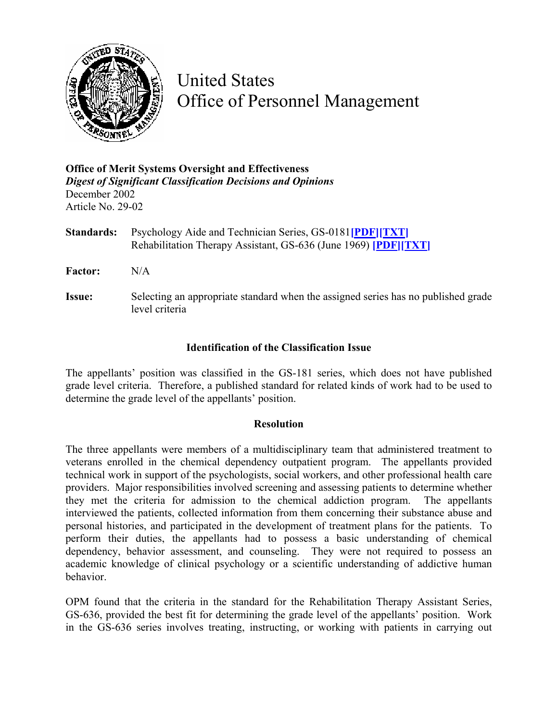

United States Office of Personnel Management

**Office of Merit Systems Oversight and Effectiveness**  *Digest of Significant Classification Decisions and Opinions* December 2002 Article No. 29-02

**Standards:** Psychology Aide and Technician Series, GS-0181**[\[PDF\]](http://www.opm.gov/fedclass/gshbkocc.pdf)[\[TXT\]](http://www.opm.gov/fedclass/word/gshbkocc.doc)** Rehabilitation Therapy Assistant, GS-636 (June 1969) **[\[PDF\]](http://www.opm.gov/fedclass/gs0636.pdf)[\[TXT\]](http://www.opm.gov/fedclass/text/gs0636.w51)**

**Factor:** N/A

**Issue:** Selecting an appropriate standard when the assigned series has no published grade level criteria

## **Identification of the Classification Issue**

The appellants' position was classified in the GS-181 series, which does not have published grade level criteria. Therefore, a published standard for related kinds of work had to be used to determine the grade level of the appellants' position.

## **Resolution**

The three appellants were members of a multidisciplinary team that administered treatment to veterans enrolled in the chemical dependency outpatient program. The appellants provided technical work in support of the psychologists, social workers, and other professional health care providers. Major responsibilities involved screening and assessing patients to determine whether they met the criteria for admission to the chemical addiction program. The appellants interviewed the patients, collected information from them concerning their substance abuse and personal histories, and participated in the development of treatment plans for the patients. To perform their duties, the appellants had to possess a basic understanding of chemical dependency, behavior assessment, and counseling. They were not required to possess an academic knowledge of clinical psychology or a scientific understanding of addictive human behavior.

OPM found that the criteria in the standard for the Rehabilitation Therapy Assistant Series, GS-636, provided the best fit for determining the grade level of the appellants' position. Work in the GS-636 series involves treating, instructing, or working with patients in carrying out